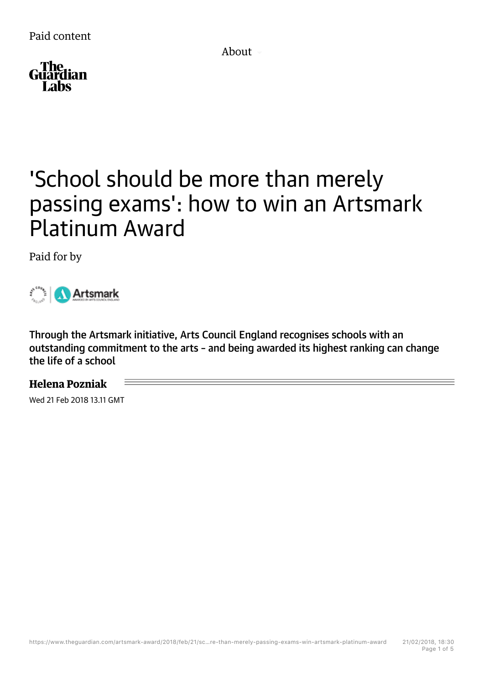About



## 'School should be more than merely passing exams': how to win an Artsmark Platinum Award

Paid for by

Artsmark

Through the Artsmark initiative, Arts Council England recognises schools with an outstanding commitment to the arts – and being awarded its highest ranking can change the life of a school

## **Helena Pozniak**

Wed 21 Feb 2018 13.11 GMT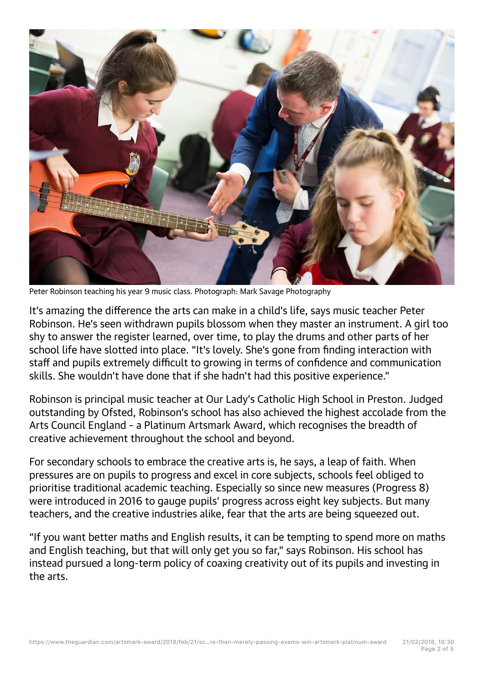

Peter Robinson teaching his year 9 music class. Photograph: Mark Savage Photography

It's amazing the difference the arts can make in a child's life, says music teacher Peter Robinson. He's seen withdrawn pupils blossom when they master an instrument. A girl too shy to answer the register learned, over time, to play the drums and other parts of her school life have slotted into place. "It's lovely. She's gone from finding interaction with staff and pupils extremely difficult to growing in terms of confidence and communication skills. She wouldn't have done that if she hadn't had this positive experience."

Robinson is principal music teacher at Our Lady's Catholic High School in Preston. Judged outstanding by Ofsted, Robinson's school has also achieved the highest accolade from the Arts Council England – a Platinum Artsmark Award, which recognises the breadth of creative achievement throughout the school and beyond.

For secondary schools to embrace the creative arts is, he says, a leap of faith. When pressures are on pupils to progress and excel in core subjects, schools feel obliged to prioritise traditional academic teaching. Especially so since new measures (Progress 8) were introduced in 2016 to gauge pupils' progress across eight key subjects. But many teachers, and the creative industries alike, fear that the arts are being squeezed out.

"If you want better maths and English results, it can be tempting to spend more on maths and English teaching, but that will only get you so far," says Robinson. His school has instead pursued a long-term policy of coaxing creativity out of its pupils and investing in the arts.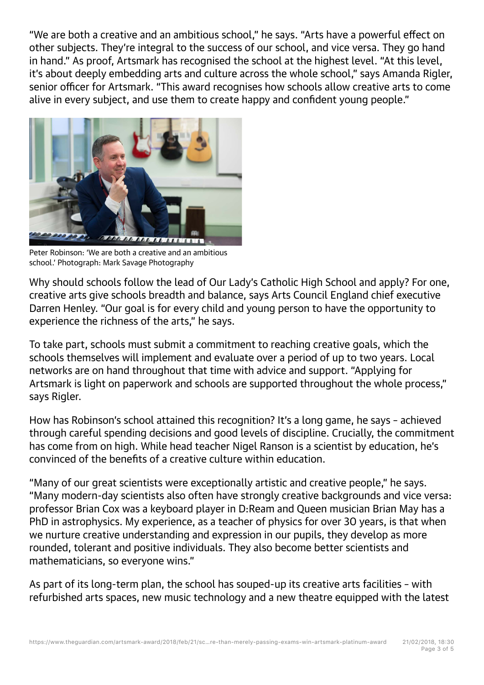"We are both a creative and an ambitious school," he says. "Arts have a powerful effect on other subjects. They're integral to the success of our school, and vice versa. They go hand in hand." As proof, Artsmark has recognised the school at the highest level. "At this level. it's about deeply embedding arts and culture across the whole school," says Amanda Rigler, senior officer for Artsmark. "This award recognises how schools allow creative arts to come alive in every subject, and use them to create happy and confident young people."



Peter Robinson: 'We are both a creative and an ambitious school.' Photograph: Mark Savage Photography

Why should schools follow the lead of Our Lady's Catholic High School and apply? For one, creative arts give schools breadth and balance, says Arts Council England chief executive Darren Henley. "Our goal is for every child and young person to have the opportunity to experience the richness of the arts," he says.

To take part, schools must submit a commitment to reaching creative goals, which the schools themselves will implement and evaluate over a period of up to two years. Local networks are on hand throughout that time with advice and support. "Applying for Artsmark is light on paperwork and schools are supported throughout the whole process," says Rigler.

How has Robinson's school attained this recognition? It's a long game, he says – achieved through careful spending decisions and good levels of discipline. Crucially, the commitment has come from on high. While head teacher Nigel Ranson is a scientist by education, he's convinced of the benefits of a creative culture within education.

"Many of our great scientists were exceptionally artistic and creative people," he says. "Many modern-day scientists also often have strongly creative backgrounds and vice versa: professor Brian Cox was a keyboard player in D:Ream and Queen musician Brian May has a PhD in astrophysics. My experience, as a teacher of physics for over 30 years, is that when we nurture creative understanding and expression in our pupils, they develop as more rounded, tolerant and positive individuals. They also become better scientists and mathematicians, so everyone wins."

As part of its long-term plan, the school has souped-up its creative arts facilities – with refurbished arts spaces, new music technology and a new theatre equipped with the latest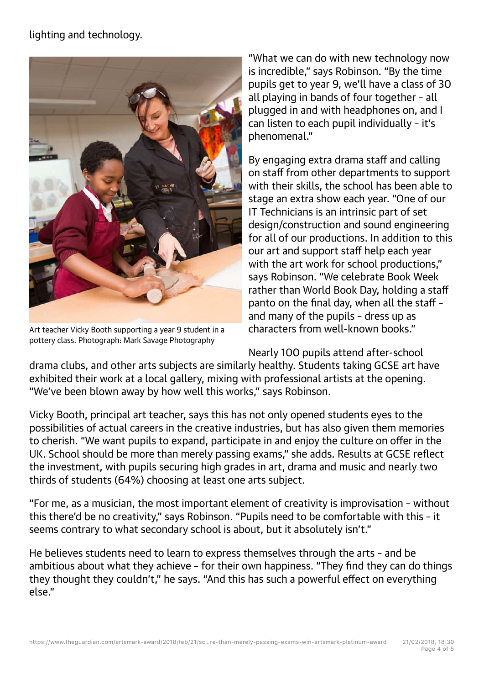## lighting and technology.



Art teacher Vicky Booth supporting a year 9 student in a pottery class. Photograph: Mark Savage Photography

"What we can do with new technology now is incredible," says Robinson. "By the time pupils get to year 9, we'll have a class of 30 all playing in bands of four together – all plugged in and with headphones on, and I can listen to each pupil individually – it's phenomenal."

By engaging extra drama staff and calling on staff from other departments to support with their skills, the school has been able to stage an extra show each year. "One of our IT Technicians is an intrinsic part of set design/construction and sound engineering for all of our productions. In addition to this our art and support staff help each year with the art work for school productions," says Robinson. "We celebrate Book Week rather than World Book Day, holding a staff panto on the final day, when all the staff – and many of the pupils – dress up as characters from well-known books."

Nearly 100 pupils attend after-school

drama clubs, and other arts subjects are similarly healthy. Students taking GCSE art have exhibited their work at a local gallery, mixing with professional artists at the opening. "We've been blown away by how well this works," says Robinson.

Vicky Booth, principal art teacher, says this has not only opened students eyes to the possibilities of actual careers in the creative industries, but has also given them memories to cherish. "We want pupils to expand, participate in and enjoy the culture on offer in the UK. School should be more than merely passing exams," she adds. Results at GCSE reflect the investment, with pupils securing high grades in art, drama and music and nearly two thirds of students (64%) choosing at least one arts subject.

"For me, as a musician, the most important element of creativity is improvisation – without this there'd be no creativity," says Robinson. "Pupils need to be comfortable with this – it seems contrary to what secondary school is about, but it absolutely isn't."

He believes students need to learn to express themselves through the arts – and be ambitious about what they achieve – for their own happiness. "They find they can do things they thought they couldn't," he says. "And this has such a powerful effect on everything else."